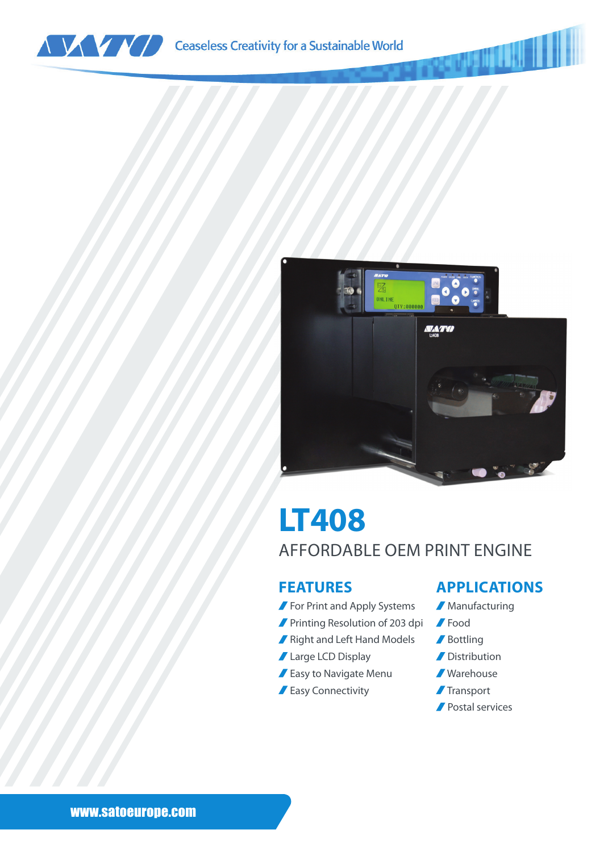



# **LT408** AFFORDABLE OEM PRINT ENGINE

### **FEATURES**

- **For Print and Apply Systems**
- **Printing Resolution of 203 dpi**
- Right and Left Hand Models
- Large LCD Display
- **Easy to Navigate Menu**
- **Easy Connectivity**

### **APPLICATIONS**

- **Manufacturing**
- Food
- Bottling
- **Distribution**
- Warehouse
- **Transport**
- Postal services

#### www.satoeurope.com